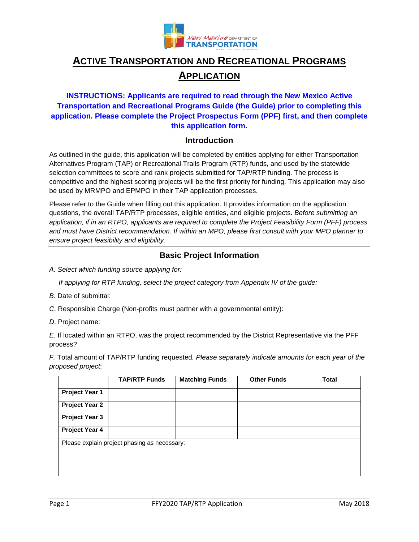

# **ACTIVE TRANSPORTATION AND RECREATIONAL PROGRAMS APPLICATION**

## **INSTRUCTIONS: Applicants are required to read through the New Mexico Active Transportation and Recreational Programs Guide (the Guide) prior to completing this application. Please complete the Project Prospectus Form (PPF) first, and then complete this application form.**

### **Introduction**

As outlined in the guide, this application will be completed by entities applying for either Transportation Alternatives Program (TAP) or Recreational Trails Program (RTP) funds, and used by the statewide selection committees to score and rank projects submitted for TAP/RTP funding. The process is competitive and the highest scoring projects will be the first priority for funding. This application may also be used by MRMPO and EPMPO in their TAP application processes.

Please refer to the Guide when filling out this application. It provides information on the application questions, the overall TAP/RTP processes, eligible entities, and eligible projects. *Before submitting an application, if in an RTPO, applicants are required to complete the Project Feasibility Form (PFF) process and must have District recommendation. If within an MPO, please first consult with your MPO planner to ensure project feasibility and eligibility.*

## **Basic Project Information**

*A. Select which funding source applying for:*

 *If applying for RTP funding, select the project category from Appendix IV of the guide:* 

- *B*. Date of submittal:
- *C*. Responsible Charge (Non-profits must partner with a governmental entity):
- *D*. Project name:

*E.* If located within an RTPO, was the project recommended by the District Representative via the PFF process?

*F.* Total amount of TAP/RTP funding requested*. Please separately indicate amounts for each year of the proposed project*:

|                                              | <b>TAP/RTP Funds</b> | <b>Matching Funds</b> | <b>Other Funds</b> | <b>Total</b> |
|----------------------------------------------|----------------------|-----------------------|--------------------|--------------|
| Project Year 1                               |                      |                       |                    |              |
| <b>Project Year 2</b>                        |                      |                       |                    |              |
| <b>Project Year 3</b>                        |                      |                       |                    |              |
| Project Year 4                               |                      |                       |                    |              |
| Please explain project phasing as necessary: |                      |                       |                    |              |
|                                              |                      |                       |                    |              |
|                                              |                      |                       |                    |              |
|                                              |                      |                       |                    |              |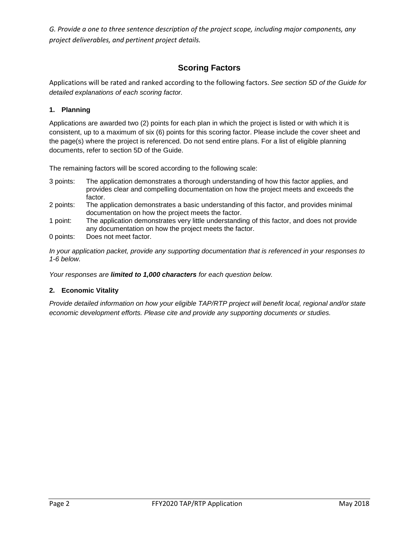*G. Provide a one to three sentence description of the project scope, including major components, any project deliverables, and pertinent project details.*

# **Scoring Factors**

Applications will be rated and ranked according to the following factors. *See section 5D of the Guide for detailed explanations of each scoring factor.*

#### **1. Planning**

Applications are awarded two (2) points for each plan in which the project is listed or with which it is consistent, up to a maximum of six (6) points for this scoring factor. Please include the cover sheet and the page(s) where the project is referenced. Do not send entire plans. For a list of eligible planning documents, refer to section 5D of the Guide.

The remaining factors will be scored according to the following scale:

- 3 points: The application demonstrates a thorough understanding of how this factor applies, and provides clear and compelling documentation on how the project meets and exceeds the factor.
- 2 points: The application demonstrates a basic understanding of this factor, and provides minimal documentation on how the project meets the factor.
- 1 point: The application demonstrates very little understanding of this factor, and does not provide any documentation on how the project meets the factor.
- 0 points: Does not meet factor.

*In your application packet, provide any supporting documentation that is referenced in your responses to 1-6 below.*

*Your responses are limited to 1,000 characters for each question below.*

#### **2. Economic Vitality**

*Provide detailed information on how your eligible TAP/RTP project will benefit local, regional and/or state economic development efforts. Please cite and provide any supporting documents or studies.*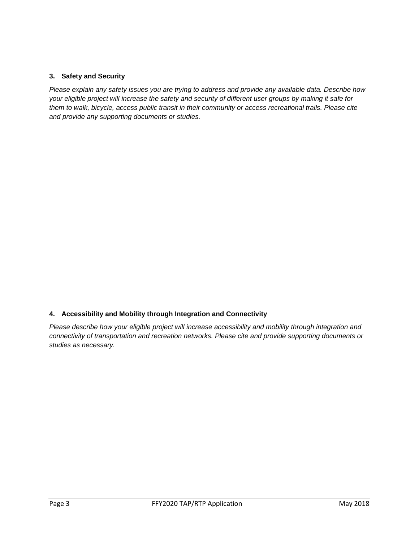#### **3. Safety and Security**

*Please explain any safety issues you are trying to address and provide any available data. Describe how your eligible project will increase the safety and security of different user groups by making it safe for them to walk, bicycle, access public transit in their community or access recreational trails. Please cite and provide any supporting documents or studies.*

#### **4. Accessibility and Mobility through Integration and Connectivity**

*Please describe how your eligible project will increase accessibility and mobility through integration and connectivity of transportation and recreation networks. Please cite and provide supporting documents or studies as necessary.*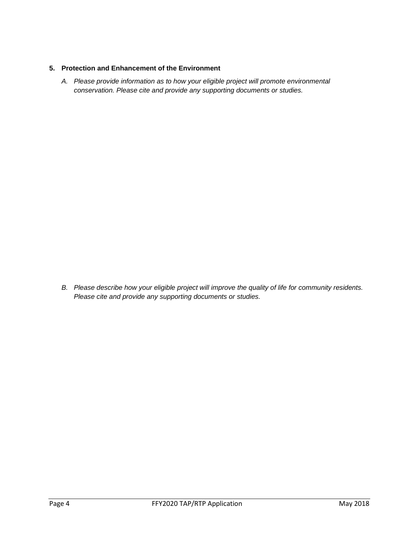#### **5. Protection and Enhancement of the Environment**

*A. Please provide information as to how your eligible project will promote environmental conservation. Please cite and provide any supporting documents or studies.*

*B. Please describe how your eligible project will improve the quality of life for community residents. Please cite and provide any supporting documents or studies.*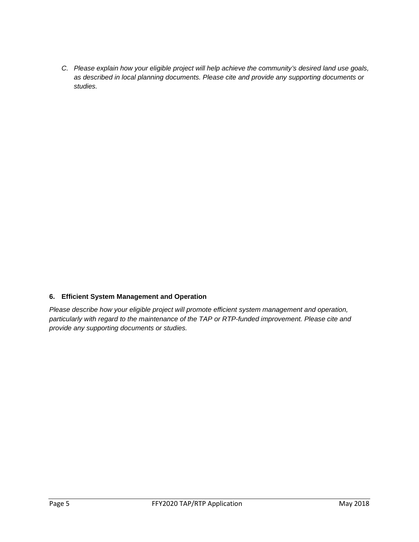*C. Please explain how your eligible project will help achieve the community's desired land use goals, as described in local planning documents. Please cite and provide any supporting documents or studies.*

#### **6. Efficient System Management and Operation**

*Please describe how your eligible project will promote efficient system management and operation, particularly with regard to the maintenance of the TAP or RTP-funded improvement. Please cite and provide any supporting documents or studies.*